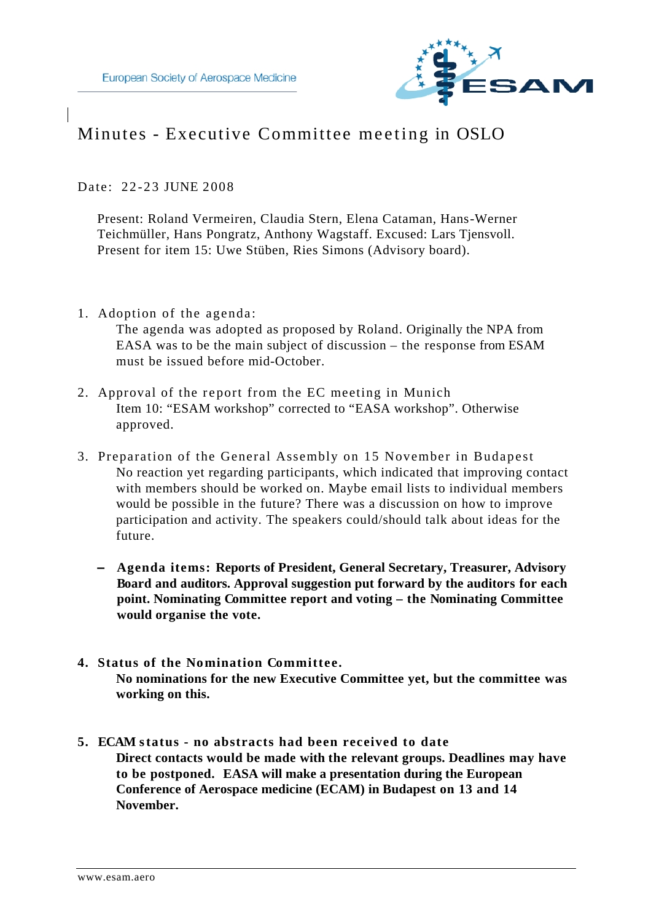

# Minutes - Executive Committee meeting in OSLO

Date: 22-23 JUNE 2008

Present: Roland Vermeiren, Claudia Stern, Elena Cataman, Hans-Werner Teichmüller, Hans Pongratz, Anthony Wagstaff. Excused: Lars Tjensvoll. Present for item 15: Uwe Stüben, Ries Simons (Advisory board).

1. Adoption of the agenda:

The agenda was adopted as proposed by Roland. Originally the NPA from EASA was to be the main subject of discussion – the response from ESAM must be issued before mid-October.

- 2. Approval of the report from the EC meeting in Munich Item 10: "ESAM workshop" corrected to "EASA workshop". Otherwise approved.
- 3. Preparation of the General Assembly on 15 November in Budapest No reaction yet regarding participants, which indicated that improving contact with members should be worked on. Maybe email lists to individual members would be possible in the future? There was a discussion on how to improve participation and activity. The speakers could/should talk about ideas for the future.
	- **– Agenda items: Reports of President, General Secretary, Treasurer, Advisory Board and auditors. Approval suggestion put forward by the auditors for each point. Nominating Committee report and voting – the Nominating Committee would organise the vote.**
- **4. Status of the Nomination Committee. No nominations for the new Executive Committee yet, but the committee was working on this.**
- **5. ECAM status no abstracts had been received to date Direct contacts would be made with the relevant groups. Deadlines may have to be postponed. EASA will make a presentation during the European Conference of Aerospace medicine (ECAM) in Budapest on 13 and 14 November.**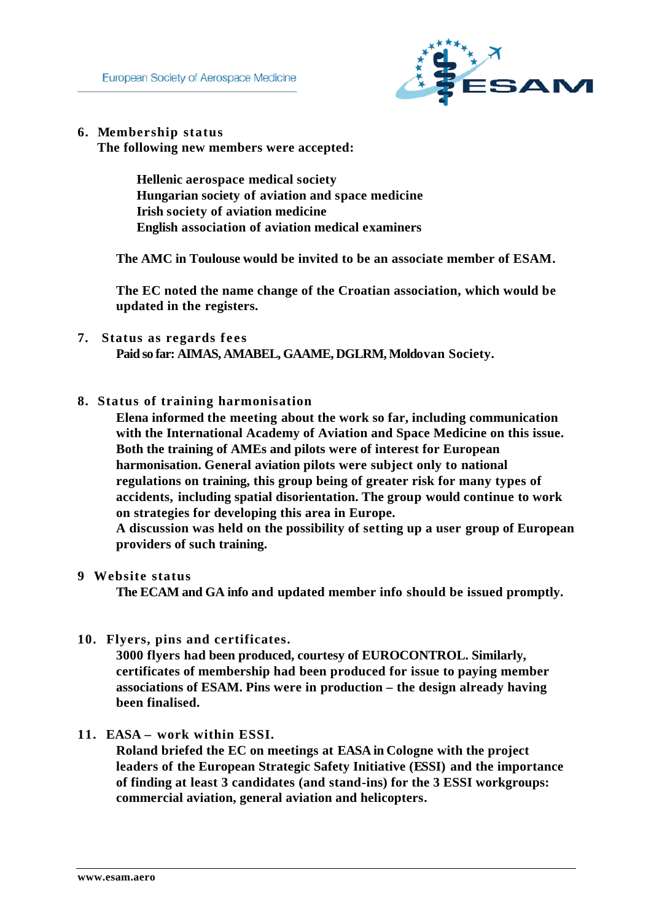

**6. Membership status**

**The following new members were accepted:**

**Hellenic aerospace medical society Hungarian society of aviation and space medicine Irish society of aviation medicine English association of aviation medical examiners**

**The AMC in Toulouse would be invited to be an associate member of ESAM.**

**The EC noted the name change of the Croatian association, which would be updated in the registers.**

**7. Status as regards fees**

**Paid so far: AIMAS, AMABEL, GAAME, DGLRM, Moldovan Society.** 

**8. Status of training harmonisation**

**Elena informed the meeting about the work so far, including communication with the International Academy of Aviation and Space Medicine on this issue. Both the training of AMEs and pilots were of interest for European harmonisation. General aviation pilots were subject only to national regulations on training, this group being of greater risk for many types of accidents, including spatial disorientation. The group would continue to work on strategies for developing this area in Europe.** 

**A discussion was held on the possibility of setting up a user group of European providers of such training.** 

**9 Website status**

**The ECAM and GA info and updated member info should be issued promptly.** 

**10. Flyers, pins and certificates.**

**3000 flyers had been produced, courtesy of EUROCONTROL. Similarly, certificates of membership had been produced for issue to paying member associations of ESAM. Pins were in production – the design already having been finalised.**

**11. EASA – work within ESSI.**

**Roland briefed the EC on meetings at EASA in Cologne with the project leaders of the European Strategic Safety Initiative (ESSI) and the importance of finding at least 3 candidates (and stand-ins) for the 3 ESSI workgroups: commercial aviation, general aviation and helicopters.**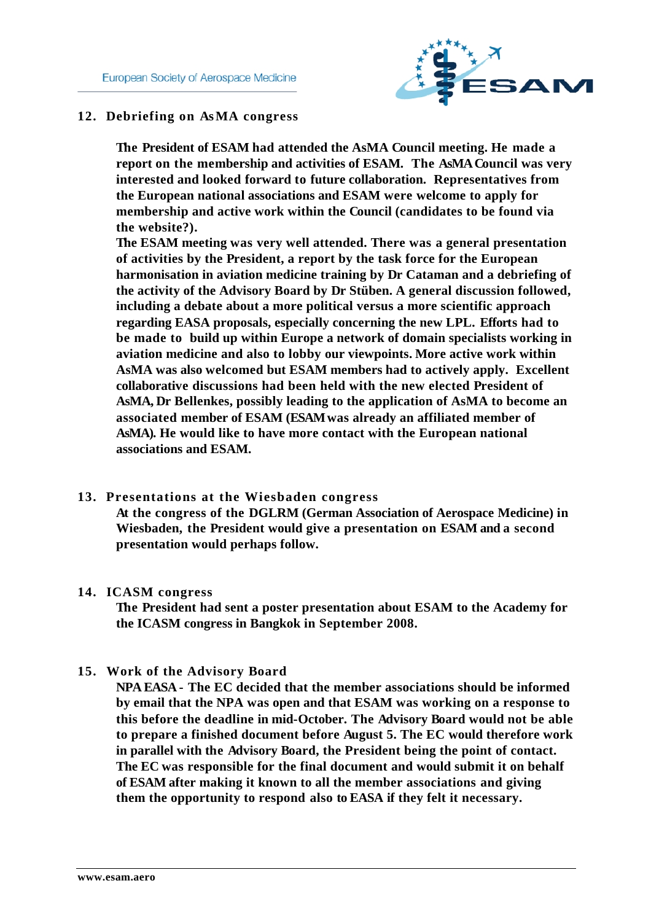

## **12. Debriefing on AsMA congress**

**The President of ESAM had attended the AsMA Council meeting. He made a report on the membership and activities of ESAM. The AsMA Council was very interested and looked forward to future collaboration. Representatives from the European national associations and ESAM were welcome to apply for membership and active work within the Council (candidates to be found via the website?).**

**The ESAM meeting was very well attended. There was a general presentation of activities by the President, a report by the task force for the European harmonisation in aviation medicine training by Dr Cataman and a debriefing of the activity of the Advisory Board by Dr Stüben. A general discussion followed, including a debate about a more political versus a more scientific approach regarding EASA proposals, especially concerning the new LPL. Efforts had to be made to build up within Europe a network of domain specialists working in aviation medicine and also to lobby our viewpoints. More active work within AsMA was also welcomed but ESAM members had to actively apply. Excellent collaborative discussions had been held with the new elected President of AsMA, Dr Bellenkes, possibly leading to the application of AsMA to become an associated member of ESAM (ESAM was already an affiliated member of AsMA). He would like to have more contact with the European national associations and ESAM.**

#### **13. Presentations at the Wiesbaden congress**

**At the congress of the DGLRM (German Association of Aerospace Medicine) in Wiesbaden, the President would give a presentation on ESAM and a second presentation would perhaps follow.**

#### **14. ICASM congress**

**The President had sent a poster presentation about ESAM to the Academy for the ICASM congress in Bangkok in September 2008.**

### **15. Work of the Advisory Board**

**NPA EASA - The EC decided that the member associations should be informed by email that the NPA was open and that ESAM was working on a response to this before the deadline in mid-October. The Advisory Board would not be able to prepare a finished document before August 5. The EC would therefore work in parallel with the Advisory Board, the President being the point of contact. The EC was responsible for the final document and would submit it on behalf of ESAM after making it known to all the member associations and giving them the opportunity to respond also to EASA if they felt it necessary.**